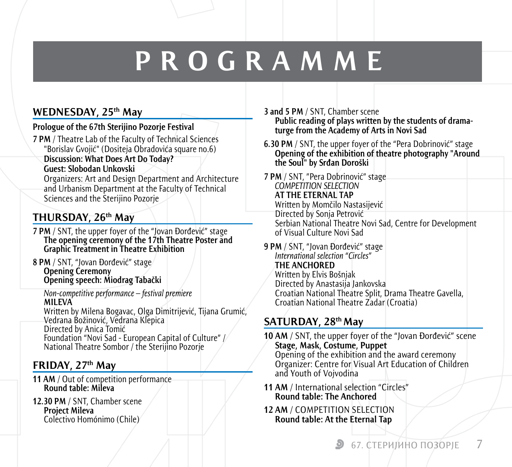# **PROGRAMME**

#### **Wednesday, 25th May**

#### **Prologue of the 67th Sterijino Pozorje Festival**

**7 PM** / Theatre Lab of the Faculty of Technical Sciences "Borislav Gvojić" (Dositeja Obradovića square no.6) **Discussion: What Does Art Do Today? Guest: Slobodan Unkovski** Organizers: Art and Design Department and Architecture and Urbanism Department at the Faculty of Technical Sciences and the Sterijino Pozorje

#### **Thursday, 26th May**

- **7 PM** / SNT, the upper foyer of the "Jovan Đorđević" stage **The opening ceremony of the 17th Theatre Poster and Graphic Treatment in Theatre Exhibition**
- **8 PM** / SNT, "Jovan Đorđević" stage **Opening Ceremony Opening speech: Miodrag Tabački**

*Non-competitive performance – festival premiere* **MILEVA**

Written by Milena Bogavac, Olga Dimitrijević, Tijana Grumić, Vedrana Božinović, Vedrana Klepica Directed by Anica Tomić Foundation "Novi Sad - European Capital of Culture" / National Theatre Sombor / the Sterijino Pozorje

#### **FRIDAY, 27th May**

- **11 AM** / Out of competition performance **Round table: Mileva**
- **12.30 PM** / SNT, Chamber scene **Project Mileva** Colectivo Homónimo (Chile)

**3 and 5 PM** / SNT, Chamber scene **Public reading of plays written by the students of drama turge from the Academy of Arts in Novi Sad** 

- **6.30 PM** / SNT, the upper foyer of the "Pera Dobrinović" stage **Opening of the exhibition of theatre photography "Around the Soul" by Srđan Doroški**
- **7 PM** / SNT, "Pera Dobrinović" stage *COMPETITION SELECTION* **AT THE ETERNAL TAP** Written by Momčilo Nastasijević Directed by Sonja Petrović Serbian National Theatre Novi Sad, Centre for Development of Visual Culture Novi Sad
- **9 PM** / SNT, "Jovan Đorđević" stage *International selection "Circles"* **THE ANCHORED** Written by Elvis Bošnjak Directed by Anastasija Jankovska Croatian National Theatre Split, Drama Theatre Gavella, Croatian National Theatre Zadar (Croatia)

### **Saturday, 28th May**

**10 AM** / SNT, the upper foyer of the "Jovan Đorđević" scene **Stage, Mask, Costume, Puppet** Opening of the exhibition and the award ceremony Organizer: Centre for Visual Art Education of Children and Youth of Vojvodina

- **11 AM** / International selection "Circles" **Round table: The Anchored**
- **12 AM** / COMPETITION SELECTION **Round table: At the Eternal Tap**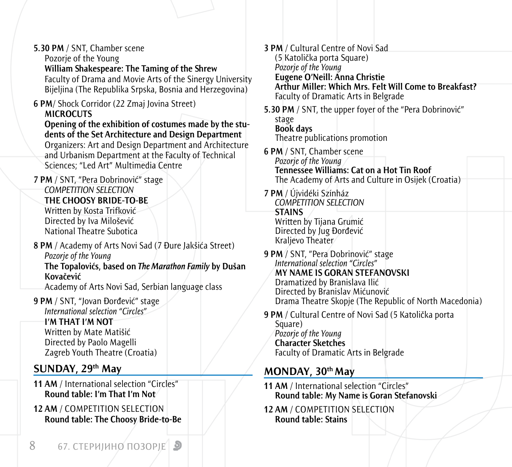| 5.30 PM / SNT, Chamber scene<br>Pozorje of the Young                                                                                                                                                                                                                                                                                                                               | <b>3 PM</b> / Cultural Centre of Novi Sad<br>(5 Katolička porta Square)<br>Pozorje of the Young<br>Eugene O'Neill: Anna Christie<br>Arthur Miller: Which Mrs. Felt Will Come to Breakfast?<br><b>Faculty of Dramatic Arts in Belgrade</b> |
|------------------------------------------------------------------------------------------------------------------------------------------------------------------------------------------------------------------------------------------------------------------------------------------------------------------------------------------------------------------------------------|-------------------------------------------------------------------------------------------------------------------------------------------------------------------------------------------------------------------------------------------|
| William Shakespeare: The Taming of the Shrew<br>Faculty of Drama and Movie Arts of the Sinergy University<br>Bijeljina (The Republika Srpska, Bosnia and Herzegovina)                                                                                                                                                                                                              |                                                                                                                                                                                                                                           |
| 6 PM/ Shock Corridor (22 Zmaj Jovina Street)<br><b>MICROCUTS</b><br>Opening of the exhibition of costumes made by the stu-<br>dents of the Set Architecture and Design Department<br>Organizers: Art and Design Department and Architecture<br>and Urbanism Department at the Faculty of Technical<br>Sciences; "Led Art" Multimedia Centre<br>7 PM / SNT, "Pera Dobrinović" stage | 5.30 PM / SNT, the upper foyer of the "Pera Dobrinović"<br>stage<br><b>Book days</b><br>Theatre publications promotion<br>6 PM / SNT, Chamber scene                                                                                       |
|                                                                                                                                                                                                                                                                                                                                                                                    | Pozorje of the Young<br><b>Tennessee Williams: Cat on a Hot Tin Roof</b><br>The Academy of Arts and Culture in Osijek (Croatia)                                                                                                           |
| <b>COMPETITION SELECTION</b><br>THE CHOOSY BRIDE-TO-BE<br>Written by Kosta Trifković<br>Directed by Iva Milošević                                                                                                                                                                                                                                                                  | 7 PM / Újvidéki Színház<br>COMPETITION SELECTION<br><b>STAINS</b><br>Written by Tijana Grumić                                                                                                                                             |
| <b>National Theatre Subotica</b><br>8 PM / Academy of Arts Novi Sad (7 Đure Jakšića Street)<br>Pozorje of the Young<br>The Topalovićs, based on The Marathon Family by Dušan<br>Kovačević<br>Academy of Arts Novi Sad, Serbian language class                                                                                                                                      | Directed by Jug Đorđević<br>Kraljevo Theater<br>9 PM / SNT, "Pera Dobrinović" stage                                                                                                                                                       |
|                                                                                                                                                                                                                                                                                                                                                                                    | International selection "Circles"<br>MY NAME IS GORAN STEFANOVSKI<br>Dramatized by Branislava Ilić<br>Directed by Branislav Mićunović                                                                                                     |
| 9 PM / SNT, "Jovan Đorđević" stage<br>International selection "Circles"                                                                                                                                                                                                                                                                                                            | Drama Theatre Skopje (The Republic of North Macedonia)                                                                                                                                                                                    |
| I'M THAT I'M NOT<br>Written by Mate Matišić<br>Directed by Paolo Magelli<br>Zagreb Youth Theatre (Croatia)                                                                                                                                                                                                                                                                         | 9 PM / Cultural Centre of Novi Sad (5 Katolička porta<br>Square)<br>Pozorje of the Young<br><b>Character Sketches</b><br><b>Faculty of Dramatic Arts in Belgrade</b>                                                                      |
| SUNDAY, 29th May                                                                                                                                                                                                                                                                                                                                                                   | MONDAY, 30 <sup>th</sup> May                                                                                                                                                                                                              |
| 11 AM / International selection "Circles"<br>Round table: I'm That I'm Not                                                                                                                                                                                                                                                                                                         | 11 AM / International selection "Circles"<br>Round table: My Name is Goran Stefanovski                                                                                                                                                    |
| 12 AM / COMPETITION SELECTION<br><b>Round table: The Choosy Bride-to-Be</b>                                                                                                                                                                                                                                                                                                        | 12 AM / COMPETITION SELECTION<br><b>Round table: Stains</b>                                                                                                                                                                               |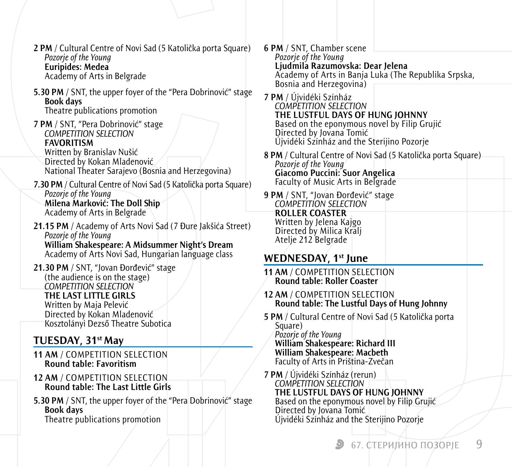**2 PM** / Cultural Centre of Novi Sad (5 Katolička porta Square) *Pozorje of the Young* **Euripides: Medea** Academy of Arts in Belgrade

**5.30 PM** / SNT, the upper foyer of the "Pera Dobrinović" stage **Book days** Theatre publications promotion

- **7 PM** / SNT, "Pera Dobrinović" stage *COMPETITION SELECTION* **FAVORITISM** Written by Branislav Nušić Directed by Kokan Mladenović National Theater Sarajevo (Bosnia and Herzegovina)
- **7.30 PM** / Cultural Centre of Novi Sad (5 Katolička porta Square) *Pozorje of the Young* **Milena Marković: The Doll Ship** Academy of Arts in Belgrade
- **21.15 PM** / Academy of Arts Novi Sad (7 Đure Jakšića Street) *Pozorje of the Young*

**William Shakespeare: A Midsummer Night's Dream**  Academy of Arts Novi Sad, Hungarian language class

**21.30 PM** / SNT, "Jovan Đorđević" stage (the audience is on the stage) *COMPETITION SELECTION* **THE LAST LITTLE GIRLS** Written by Maja Pelević Directed by Kokan Mladenović Kosztolányi Dezső Theatre Subotica

## **Tuesday, 31st May**

- **11 AM** / COMPETITION SELECTION **Round table: Favoritism**
- **12 AM** / COMPETITION SELECTION **Round table: The Last Little Girls**
- **5.30 PM** / SNT, the upper foyer of the "Pera Dobrinović" stage **Book days** Theatre publications promotion
- **6 PM** / SNT, Chamber scene *Pozorje of the Young* **Ljudmila Razumovska: Dear Jelena** Academy of Arts in Banja Luka (The Republika Srpska, Bosnia and Herzegovina)
- **7 PM** / Újvidéki Színház *COMPETITION SELECTION* **THE LUSTFUL DAYS OF HUNG JOHNNY** Based on the eponymous novel by Filip Grujić Directed by Jovana Tomić Újvidéki Színház and the Sterijino Pozorje
- **8 PM** / Cultural Centre of Novi Sad (5 Katolička porta Square) *Pozorje of the Young* **Giacomo Puccini: Suor Angelica** Faculty of Music Arts in Belgrade
- **9 PM** / SNT, "Jovan Đorđević" stage *COMPETITION SELECTION* **ROLLER COASTER** Written by Jelena Kajgo Directed by Milica Kralj Atelje 212 Belgrade

## **Wednesday, 1st June**

- **11 AM** / COMPETITION SELECTION **Round table: Roller Coaster**
- **12 AM** / COMPETITION SELECTION **Round table: The Lustful Days of Hung Johnny**
- **5 PM** / Cultural Centre of Novi Sad (5 Katolička porta Square) *Pozorje of the Young* **William Shakespeare: Richard III William Shakespeare: Macbeth** Faculty of Arts in Priština-Zvečan
- **7 PM** / Újvidéki Színház (rerun) *COMPETITION SELECTION* **THE LUSTFUL DAYS OF HUNG JOHNNY** Based on the eponymous novel by Filip Grujić Directed by Jovana Tomić Újvidéki Színház and the Sterijino Pozorje